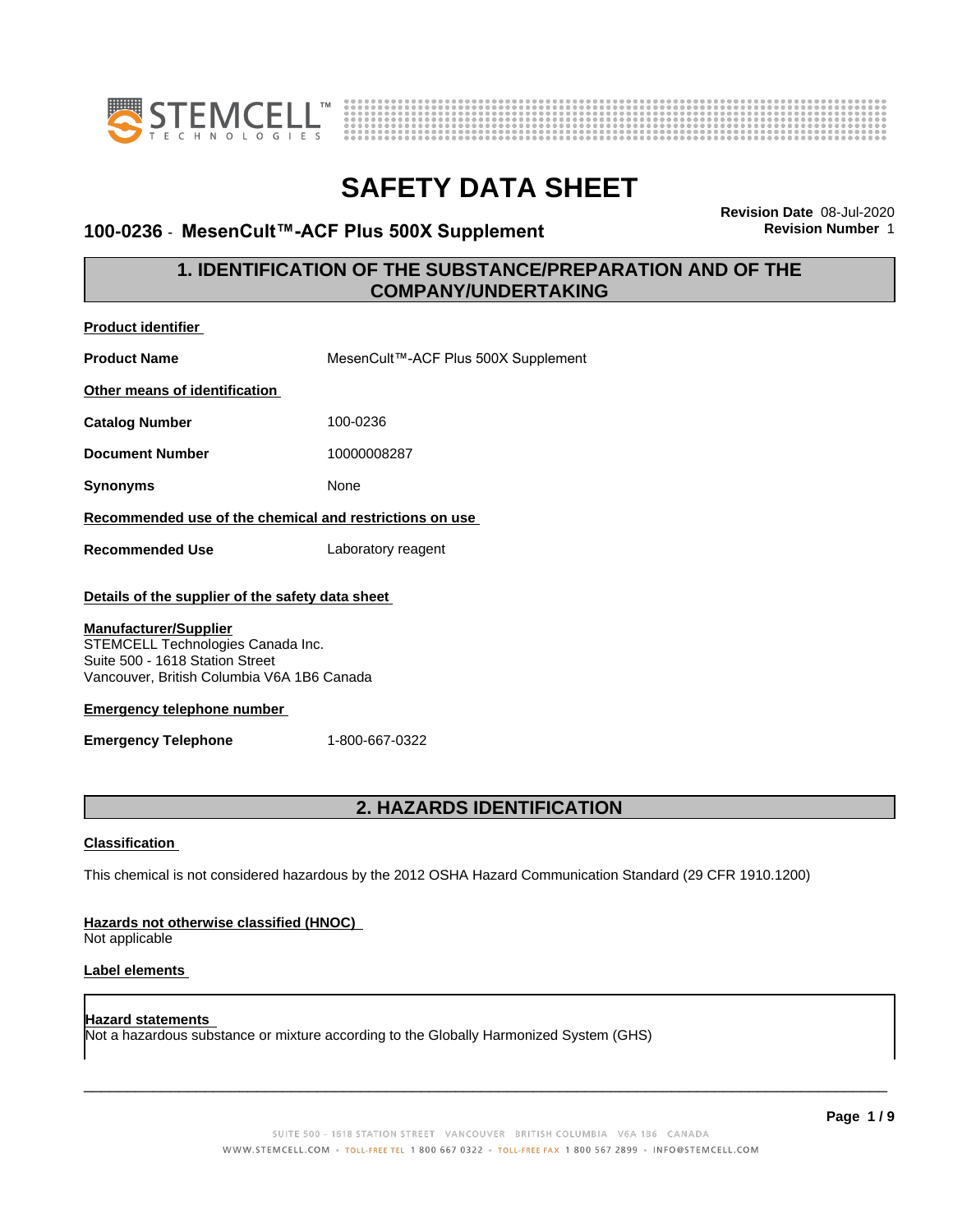



### **100-0236 · MesenCult™-ACF Plus 500X Supplement**

**Revision Date** 08-Jul-2020

### **1. IDENTIFICATION OF THE SUBSTANCE/PREPARATION AND OF THE COMPANY/UNDERTAKING**

| <b>Product identifier</b>                                                                                                                                                                                                               |                                     |  |
|-----------------------------------------------------------------------------------------------------------------------------------------------------------------------------------------------------------------------------------------|-------------------------------------|--|
| <b>Product Name</b>                                                                                                                                                                                                                     | MesenCult™-ACF Plus 500X Supplement |  |
| Other means of identification                                                                                                                                                                                                           |                                     |  |
| <b>Catalog Number</b>                                                                                                                                                                                                                   | 100-0236                            |  |
| <b>Document Number</b>                                                                                                                                                                                                                  | 10000008287                         |  |
| <b>Synonyms</b>                                                                                                                                                                                                                         | None                                |  |
| Recommended use of the chemical and restrictions on use                                                                                                                                                                                 |                                     |  |
| <b>Recommended Use</b>                                                                                                                                                                                                                  | Laboratory reagent                  |  |
| <b>Manufacturer/Supplier</b><br>STEMCELL Technologies Canada Inc.<br>Suite 500 - 1618 Station Street<br>Vancouver, British Columbia V6A 1B6 Canada<br><b>Emergency telephone number</b><br><b>Emergency Telephone</b><br>1-800-667-0322 |                                     |  |
| 2. HAZARDS IDENTIFICATION                                                                                                                                                                                                               |                                     |  |
| <b>Classification</b>                                                                                                                                                                                                                   |                                     |  |
| This chemical is not considered hazardous by the 2012 OSHA Hazard Communication Standard (29 CFR 1910.1200)                                                                                                                             |                                     |  |
| Hazards not otherwise classified (HNOC)<br>Not applicable                                                                                                                                                                               |                                     |  |

#### **Label elements**

#### **Hazard statements** Not a hazardous substance or mixture according to the Globally Harmonized System (GHS)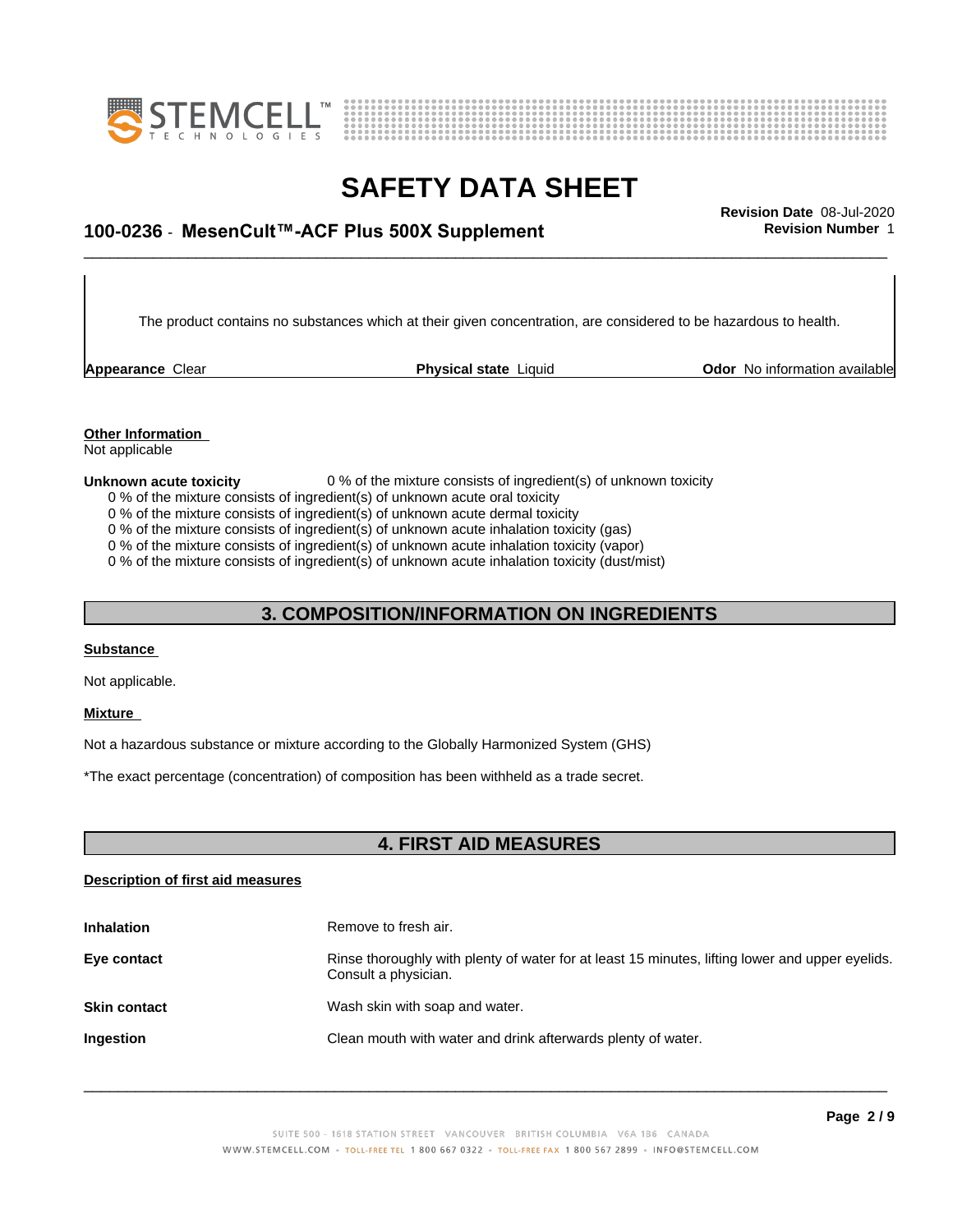



# \_\_\_\_\_\_\_\_\_\_\_\_\_\_\_\_\_\_\_\_\_\_\_\_\_\_\_\_\_\_\_\_\_\_\_\_\_\_\_\_\_\_\_\_\_\_\_\_\_\_\_\_\_\_\_\_\_\_\_\_\_\_\_\_\_\_\_\_\_\_\_\_\_\_\_\_\_\_\_\_\_\_\_\_\_\_\_\_\_\_\_\_\_ **Revision Date** 08-Jul-2020 **100-0236** - **MesenCult™-ACFPlus500XSupplement Revision Number** 1

The product contains no substances which at their given concentration, are considered to be hazardous to health.

**Appearance Clear <b>Physical state** Liquid

**Odor** No information available

#### **Other Information**

Not applicable

**Unknown acute toxicity** 0 % of the mixture consists of ingredient(s) of unknown toxicity 0 % of the mixture consists of ingredient(s) of unknown acute oral toxicity

- 
- 0 % of the mixture consists of ingredient(s) of unknown acute dermal toxicity

0 % of the mixture consists of ingredient(s) of unknown acute inhalation toxicity (gas)

0 % of the mixture consists of ingredient(s) of unknown acute inhalation toxicity (vapor)

0 % of the mixture consists of ingredient(s) of unknown acute inhalation toxicity (dust/mist)

### **3. COMPOSITION/INFORMATION ON INGREDIENTS**

#### **Substance**

Not applicable.

#### **Mixture**

Not a hazardous substance or mixture according to the Globally Harmonized System (GHS)

\*The exact percentage (concentration) of composition has been withheld as a trade secret.

#### **4. FIRST AID MEASURES**

#### **Description of first aid measures**

| <b>Inhalation</b>   | Remove to fresh air.                                                                                                    |
|---------------------|-------------------------------------------------------------------------------------------------------------------------|
| Eye contact         | Rinse thoroughly with plenty of water for at least 15 minutes, lifting lower and upper eyelids.<br>Consult a physician. |
| <b>Skin contact</b> | Wash skin with soap and water.                                                                                          |
| <b>Ingestion</b>    | Clean mouth with water and drink afterwards plenty of water.                                                            |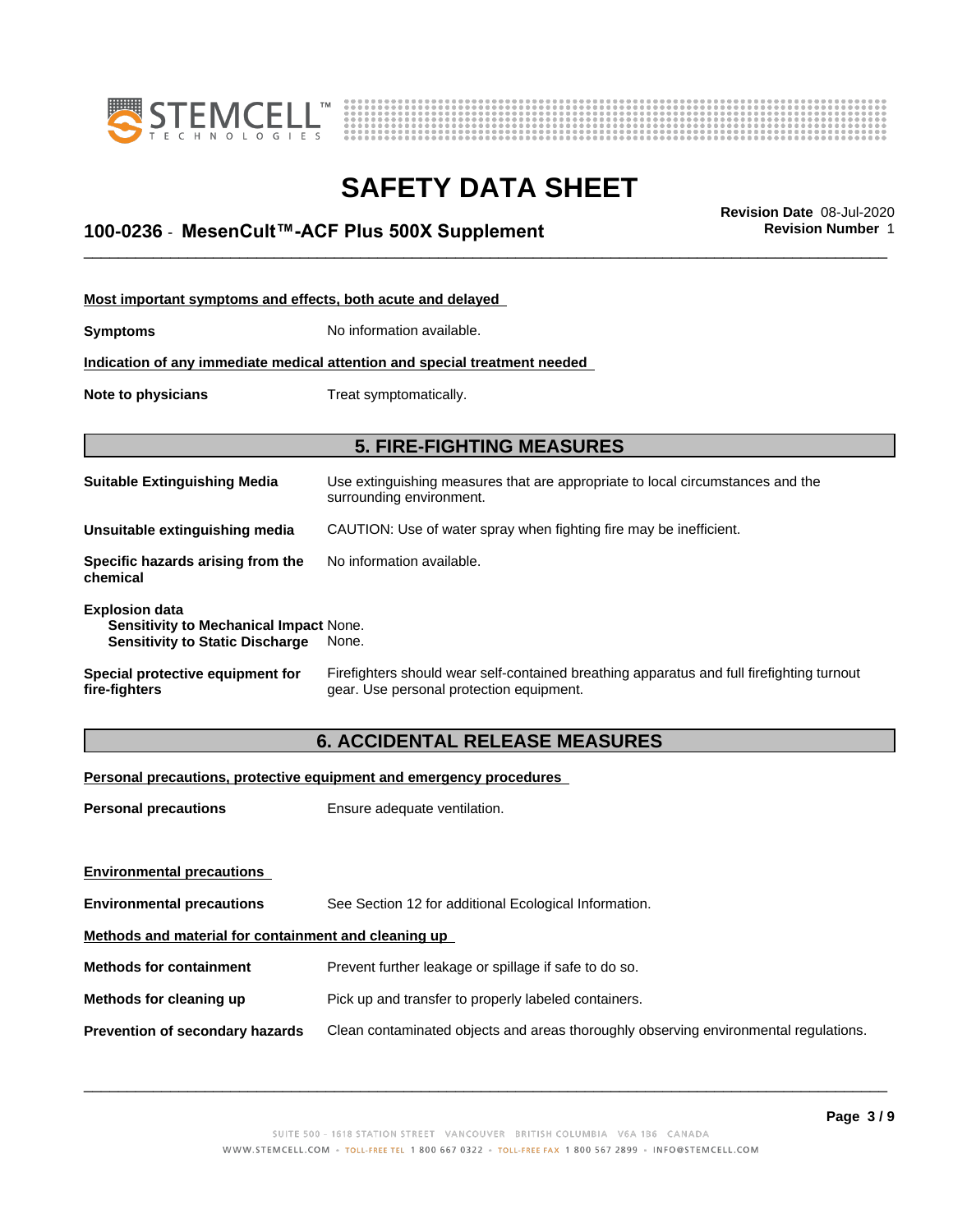



\_\_\_\_\_\_\_\_\_\_\_\_\_\_\_\_\_\_\_\_\_\_\_\_\_\_\_\_\_\_\_\_\_\_\_\_\_\_\_\_\_\_\_\_\_\_\_\_\_\_\_\_\_\_\_\_\_\_\_\_\_\_\_\_\_\_\_\_\_\_\_\_\_\_\_\_\_\_\_\_\_\_\_\_\_\_\_\_\_\_\_\_\_ **Revision Date** 08-Jul-2020 **100-0236** - **MesenCult™-ACFPlus500XSupplement Revision Number** 1

| Most important symptoms and effects, both acute and delayed                                               |                                                                                                                                       |  |
|-----------------------------------------------------------------------------------------------------------|---------------------------------------------------------------------------------------------------------------------------------------|--|
| <b>Symptoms</b>                                                                                           | No information available.                                                                                                             |  |
|                                                                                                           | Indication of any immediate medical attention and special treatment needed                                                            |  |
| Treat symptomatically.<br>Note to physicians                                                              |                                                                                                                                       |  |
|                                                                                                           |                                                                                                                                       |  |
|                                                                                                           | <b>5. FIRE-FIGHTING MEASURES</b>                                                                                                      |  |
| <b>Suitable Extinguishing Media</b>                                                                       | Use extinguishing measures that are appropriate to local circumstances and the<br>surrounding environment.                            |  |
| Unsuitable extinguishing media                                                                            | CAUTION: Use of water spray when fighting fire may be inefficient.                                                                    |  |
| Specific hazards arising from the<br>chemical                                                             | No information available.                                                                                                             |  |
| <b>Explosion data</b><br>Sensitivity to Mechanical Impact None.<br><b>Sensitivity to Static Discharge</b> | None.                                                                                                                                 |  |
| Special protective equipment for<br>fire-fighters                                                         | Firefighters should wear self-contained breathing apparatus and full firefighting turnout<br>gear. Use personal protection equipment. |  |

### **6. ACCIDENTAL RELEASE MEASURES**

#### **Personal precautions, protective equipment and emergency procedures**

| <b>Personal precautions</b>                          | Ensure adequate ventilation.                                                         |  |
|------------------------------------------------------|--------------------------------------------------------------------------------------|--|
|                                                      |                                                                                      |  |
| <b>Environmental precautions</b>                     |                                                                                      |  |
| <b>Environmental precautions</b>                     | See Section 12 for additional Ecological Information.                                |  |
| Methods and material for containment and cleaning up |                                                                                      |  |
| <b>Methods for containment</b>                       | Prevent further leakage or spillage if safe to do so.                                |  |
| Methods for cleaning up                              | Pick up and transfer to properly labeled containers.                                 |  |
| <b>Prevention of secondary hazards</b>               | Clean contaminated objects and areas thoroughly observing environmental regulations. |  |
|                                                      |                                                                                      |  |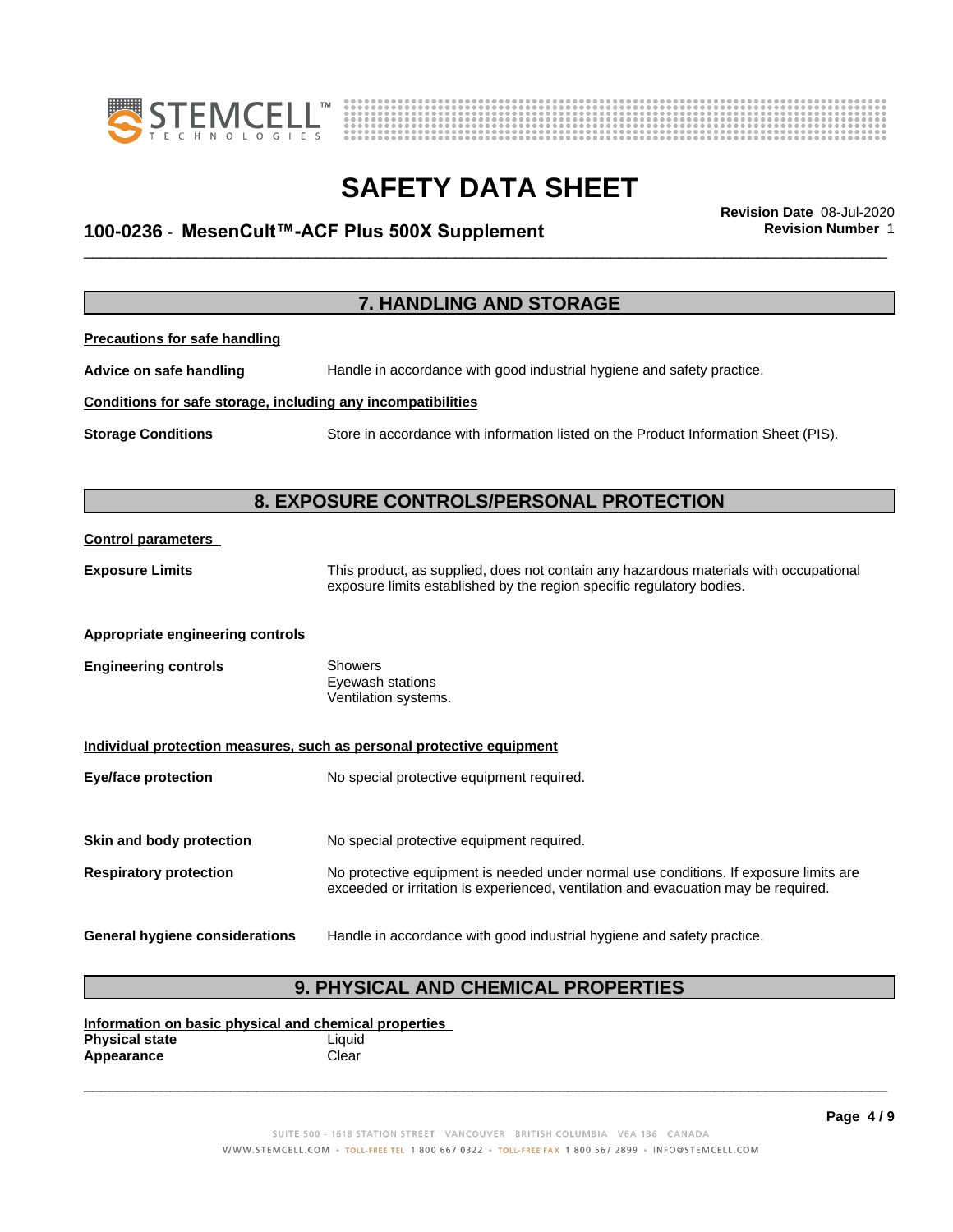



# \_\_\_\_\_\_\_\_\_\_\_\_\_\_\_\_\_\_\_\_\_\_\_\_\_\_\_\_\_\_\_\_\_\_\_\_\_\_\_\_\_\_\_\_\_\_\_\_\_\_\_\_\_\_\_\_\_\_\_\_\_\_\_\_\_\_\_\_\_\_\_\_\_\_\_\_\_\_\_\_\_\_\_\_\_\_\_\_\_\_\_\_\_ **Revision Date** 08-Jul-2020 **100-0236** - **MesenCult™-ACFPlus500XSupplement Revision Number** 1

|                                                              | <b>7. HANDLING AND STORAGE</b>                                                                                                                                              |
|--------------------------------------------------------------|-----------------------------------------------------------------------------------------------------------------------------------------------------------------------------|
| <b>Precautions for safe handling</b>                         |                                                                                                                                                                             |
| Advice on safe handling                                      | Handle in accordance with good industrial hygiene and safety practice.                                                                                                      |
| Conditions for safe storage, including any incompatibilities |                                                                                                                                                                             |
| <b>Storage Conditions</b>                                    | Store in accordance with information listed on the Product Information Sheet (PIS).                                                                                         |
|                                                              |                                                                                                                                                                             |
|                                                              | 8. EXPOSURE CONTROLS/PERSONAL PROTECTION                                                                                                                                    |
| <b>Control parameters</b>                                    |                                                                                                                                                                             |
| <b>Exposure Limits</b>                                       | This product, as supplied, does not contain any hazardous materials with occupational<br>exposure limits established by the region specific regulatory bodies.              |
| <b>Appropriate engineering controls</b>                      |                                                                                                                                                                             |
| <b>Engineering controls</b>                                  | Showers<br>Eyewash stations<br>Ventilation systems.                                                                                                                         |
|                                                              | Individual protection measures, such as personal protective equipment                                                                                                       |
| <b>Eye/face protection</b>                                   | No special protective equipment required.                                                                                                                                   |
|                                                              |                                                                                                                                                                             |
| Skin and body protection                                     | No special protective equipment required.                                                                                                                                   |
| <b>Respiratory protection</b>                                | No protective equipment is needed under normal use conditions. If exposure limits are<br>exceeded or irritation is experienced, ventilation and evacuation may be required. |
| General hygiene considerations                               | Handle in accordance with good industrial hygiene and safety practice.                                                                                                      |

### **9. PHYSICAL AND CHEMICAL PROPERTIES**

**Information on basic physical and chemical properties Physical state** Liquid<br> **Appearance** Clear **Appearance**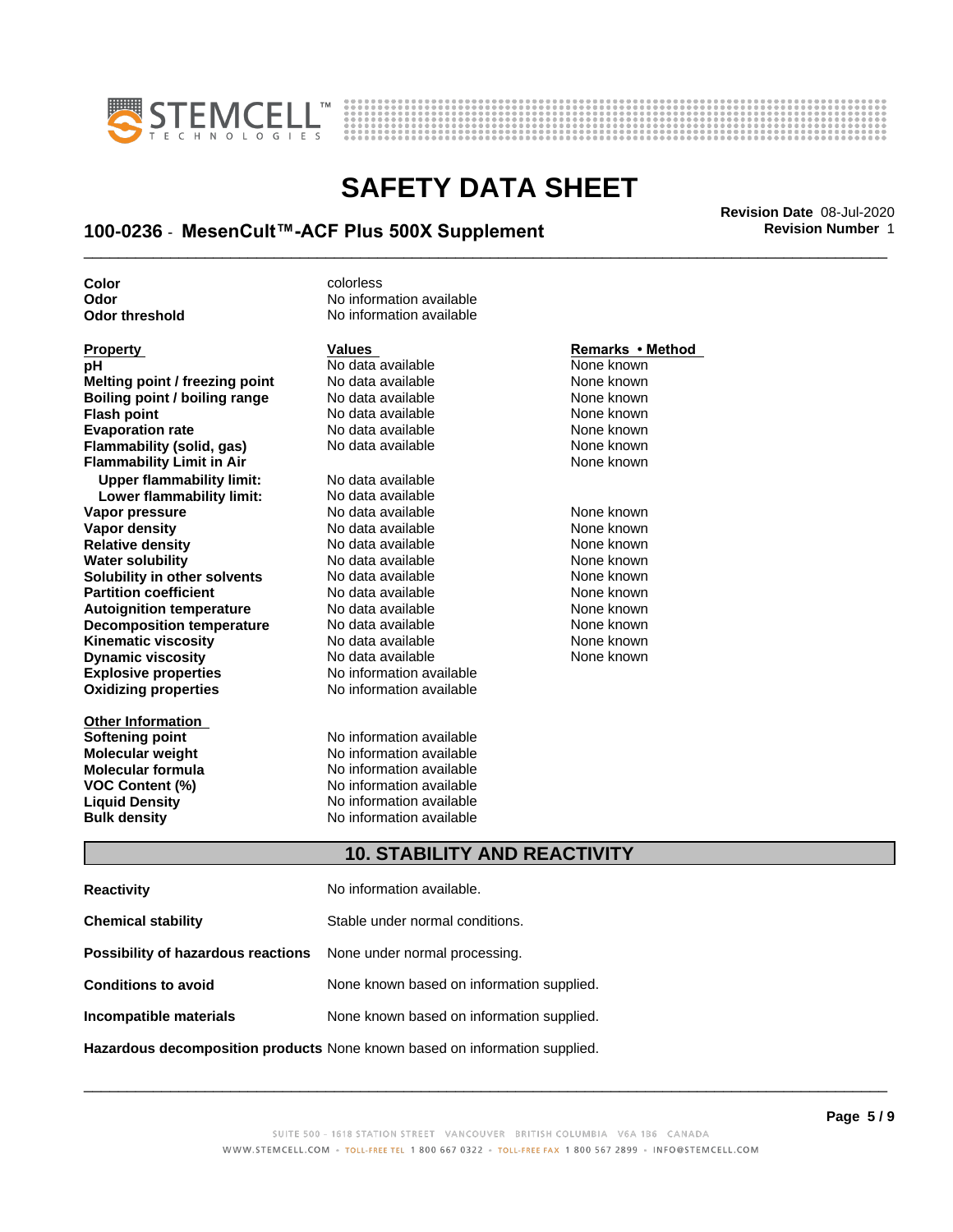



# \_\_\_\_\_\_\_\_\_\_\_\_\_\_\_\_\_\_\_\_\_\_\_\_\_\_\_\_\_\_\_\_\_\_\_\_\_\_\_\_\_\_\_\_\_\_\_\_\_\_\_\_\_\_\_\_\_\_\_\_\_\_\_\_\_\_\_\_\_\_\_\_\_\_\_\_\_\_\_\_\_\_\_\_\_\_\_\_\_\_\_\_\_ **Revision Date** 08-Jul-2020 **100-0236** - **MesenCult™-ACFPlus500XSupplement Revision Number** 1

**Color** colorless

**Explosive properties** No information available **Oxidizing properties** No information available **pH** No data available None known<br> **Melting point / freezing point** No data available None Known **Melting point / freezing point** No data available None known **Boiling point / boiling range No data available None known Flash point** No data available None known **Evaporation rate Reserve State State Additional None Convention Cone Control of the None known**<br> **Flammability (solid. gas)** No data available **None Known Flammability (solid, gas)** No data available None known<br> **Flammability Limit in Air** None Known **Flammability Limit in Air Upper flammability limit:** No data available **Lower flammability limit:** No data available **Vapor pressure No data available and the None known**<br> **Vapor density No data available None known**<br>
No data available **None known Vapor density** No data available **Relative density No data available None known**<br> **Water solubility No data available None known**<br>
No data available **Water solubility <br>
<b>Water solubility n** other **solvents** Modata available **None known**<br>
None known **Solubility in other solvents** No data available<br> **Partition coefficient** No data available **Partition coefficient**<br> **Autoignition temperature**<br>
No data available None Known None known **Autoignition temperature No data available None known**<br> **Decomposition temperature** No data available **None known**<br>
None known **Decomposition temperature** No data available **None known**<br> **Kinematic viscosity** No data available **None known**<br>
None known **Kinematic viscosity**<br> **Contains the Cone of Allian Cone is a vailable** Mone known<br>
No data available None known<br>
None known **Dynamic viscosity** 

**Other Information Softening point No information available**<br> **Molecular weight No information available Molecular weight<br>Molecular formula** 

**Odor** No information available **Odor threshold** No information available

**Molecular formula No information available**<br>**VOC Content (%) No information available VOC Content (%)** No information available **Liquid Density** No information available **Bulk density** No information available

#### **Property Remarks •Method Values Remarks** •Method

None known

#### **10. STABILITY AND REACTIVITY**

| <b>Reactivity</b>                                                       | No information available.                 |
|-------------------------------------------------------------------------|-------------------------------------------|
| <b>Chemical stability</b>                                               | Stable under normal conditions.           |
| <b>Possibility of hazardous reactions</b> None under normal processing. |                                           |
| <b>Conditions to avoid</b>                                              | None known based on information supplied. |
| Incompatible materials                                                  | None known based on information supplied. |
|                                                                         |                                           |

**Hazardous decomposition products** None known based on information supplied.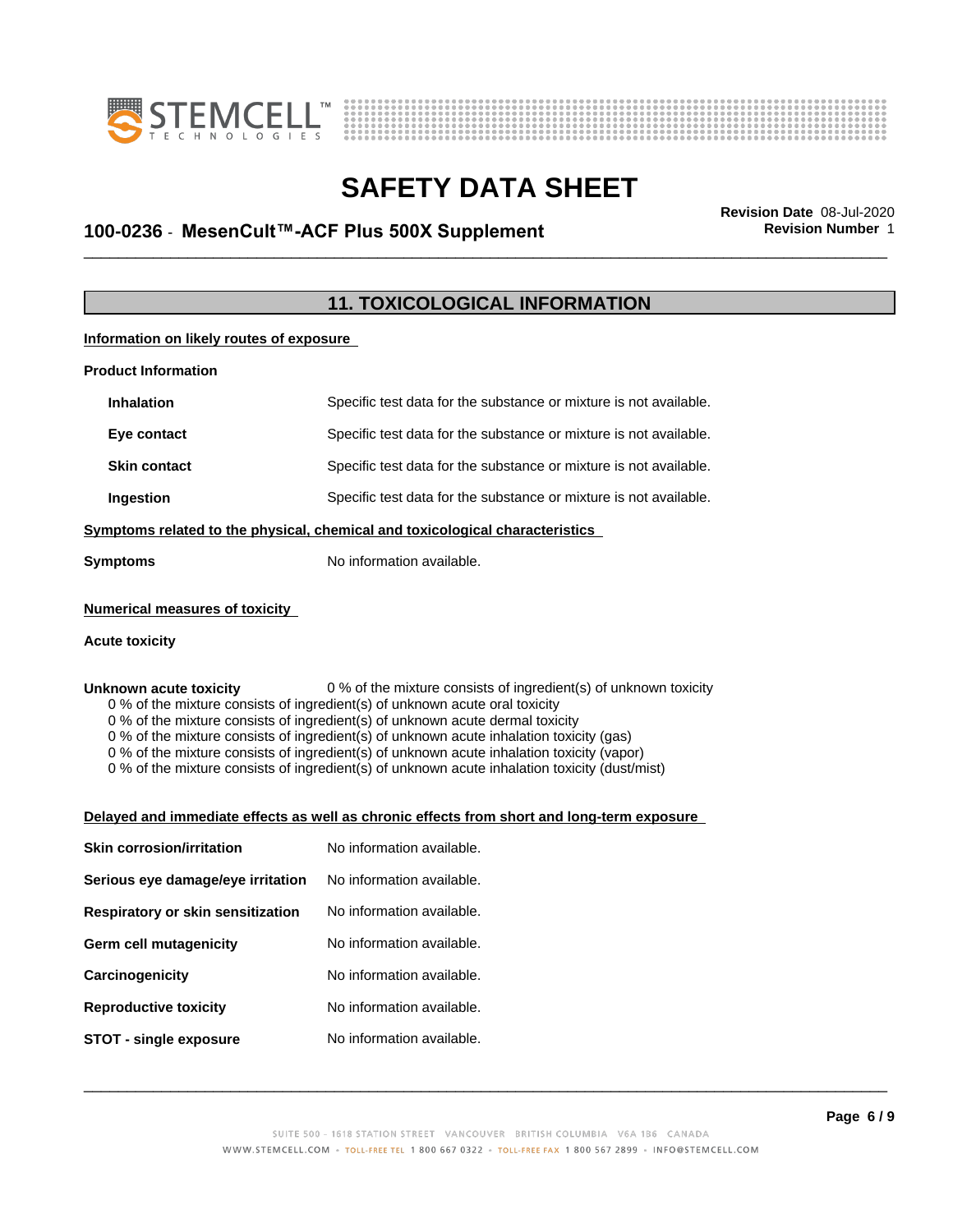



# \_\_\_\_\_\_\_\_\_\_\_\_\_\_\_\_\_\_\_\_\_\_\_\_\_\_\_\_\_\_\_\_\_\_\_\_\_\_\_\_\_\_\_\_\_\_\_\_\_\_\_\_\_\_\_\_\_\_\_\_\_\_\_\_\_\_\_\_\_\_\_\_\_\_\_\_\_\_\_\_\_\_\_\_\_\_\_\_\_\_\_\_\_ **Revision Date** 08-Jul-2020 **100-0236** - **MesenCult™-ACFPlus500XSupplement Revision Number** 1

### **11. TOXICOLOGICAL INFORMATION**

**Information on likely routes of exposure**

| <b>Product Information</b>                                                   |                                                                   |  |
|------------------------------------------------------------------------------|-------------------------------------------------------------------|--|
| <b>Inhalation</b>                                                            | Specific test data for the substance or mixture is not available. |  |
| Eye contact                                                                  | Specific test data for the substance or mixture is not available. |  |
| <b>Skin contact</b>                                                          | Specific test data for the substance or mixture is not available. |  |
| Ingestion                                                                    | Specific test data for the substance or mixture is not available. |  |
| Symptoms related to the physical, chemical and toxicological characteristics |                                                                   |  |
| Symptoms                                                                     | No information available.                                         |  |
|                                                                              |                                                                   |  |

#### **Numerical measures of toxicity**

#### **Acute toxicity**

**Unknown acute toxicity** 0 % of the mixture consists of ingredient(s) of unknown toxicity

0 % of the mixture consists of ingredient(s) of unknown acute oral toxicity

0 % of the mixture consists of ingredient(s) of unknown acute dermal toxicity

0 % of the mixture consists of ingredient(s) of unknown acute inhalation toxicity (gas)

0 % of the mixture consists of ingredient(s) of unknown acute inhalation toxicity (vapor)

0 % of the mixture consists of ingredient(s) of unknown acute inhalation toxicity (dust/mist)

#### **Delayed and immediate effects as well as chronic effects from short and long-term exposure**

| <b>Skin corrosion/irritation</b>  | No information available. |
|-----------------------------------|---------------------------|
| Serious eye damage/eye irritation | No information available. |
| Respiratory or skin sensitization | No information available. |
| Germ cell mutagenicity            | No information available. |
| Carcinogenicity                   | No information available. |
| <b>Reproductive toxicity</b>      | No information available. |
| STOT - single exposure            | No information available. |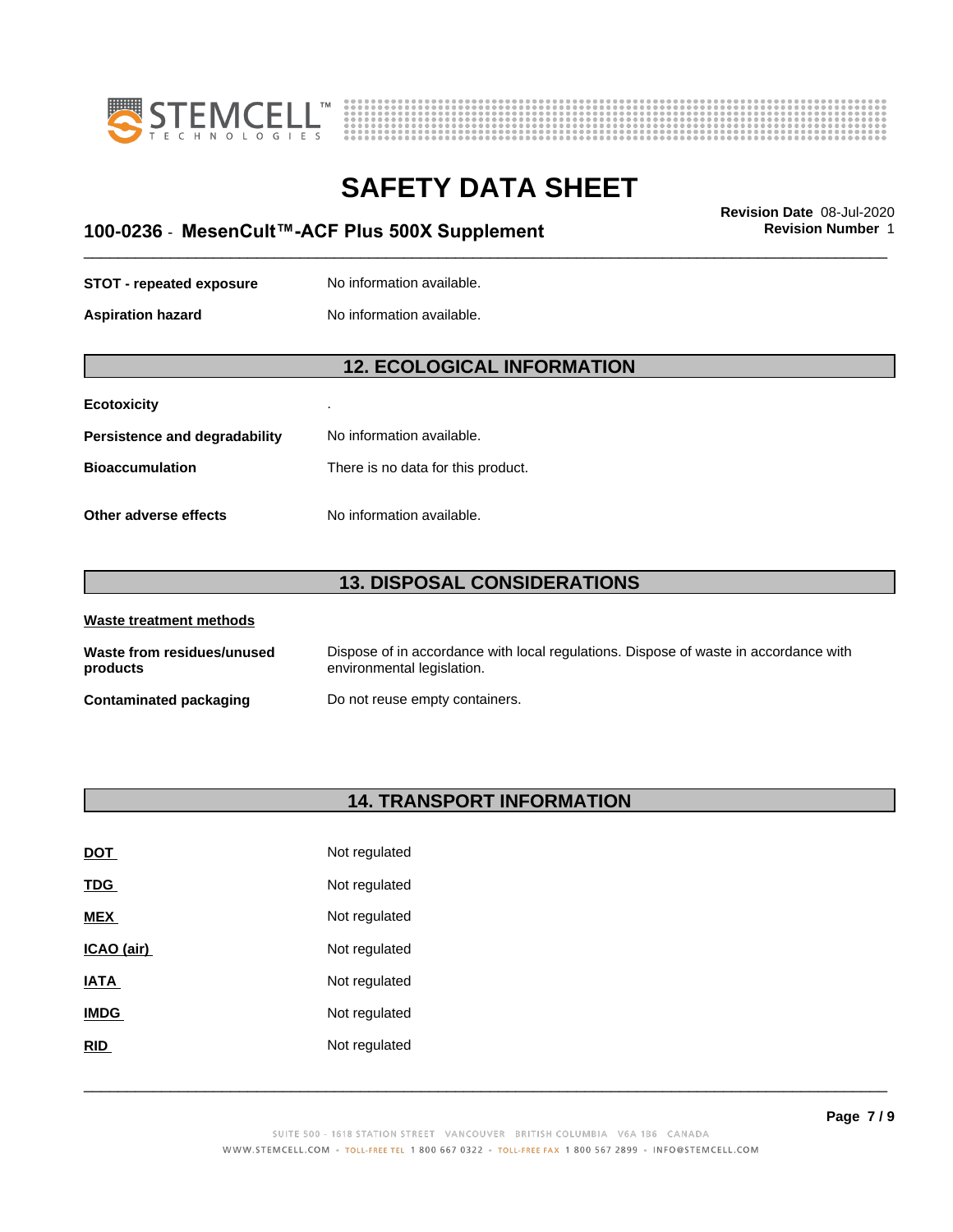



# \_\_\_\_\_\_\_\_\_\_\_\_\_\_\_\_\_\_\_\_\_\_\_\_\_\_\_\_\_\_\_\_\_\_\_\_\_\_\_\_\_\_\_\_\_\_\_\_\_\_\_\_\_\_\_\_\_\_\_\_\_\_\_\_\_\_\_\_\_\_\_\_\_\_\_\_\_\_\_\_\_\_\_\_\_\_\_\_\_\_\_\_\_ **Revision Date** 08-Jul-2020 **100-0236** - **MesenCult™-ACFPlus500XSupplement Revision Number** 1

**STOT** - **repeated exposure** No information available.

**Aspiration hazard** No information available.

### **12. ECOLOGICAL INFORMATION**

| <b>Ecotoxicity</b> |  |
|--------------------|--|
|--------------------|--|

| Persistence and degradability | No information available.          |
|-------------------------------|------------------------------------|
| Bioaccumulation               | There is no data for this product. |
|                               |                                    |

**Other adverse effects** No information available.

#### **13. DISPOSAL CONSIDERATIONS**

| Waste treatment methods                |                                                                                                                    |  |
|----------------------------------------|--------------------------------------------------------------------------------------------------------------------|--|
| Waste from residues/unused<br>products | Dispose of in accordance with local regulations. Dispose of waste in accordance with<br>environmental legislation. |  |
| Contaminated packaging                 | Do not reuse empty containers.                                                                                     |  |

### **14. TRANSPORT INFORMATION**

| <u>DOT</u>  | Not regulated |
|-------------|---------------|
| <u>TDG</u>  | Not regulated |
| <b>MEX</b>  | Not regulated |
| ICAO (air)  | Not regulated |
| IATA        | Not regulated |
| <b>IMDG</b> | Not regulated |
| <b>RID</b>  | Not regulated |
|             |               |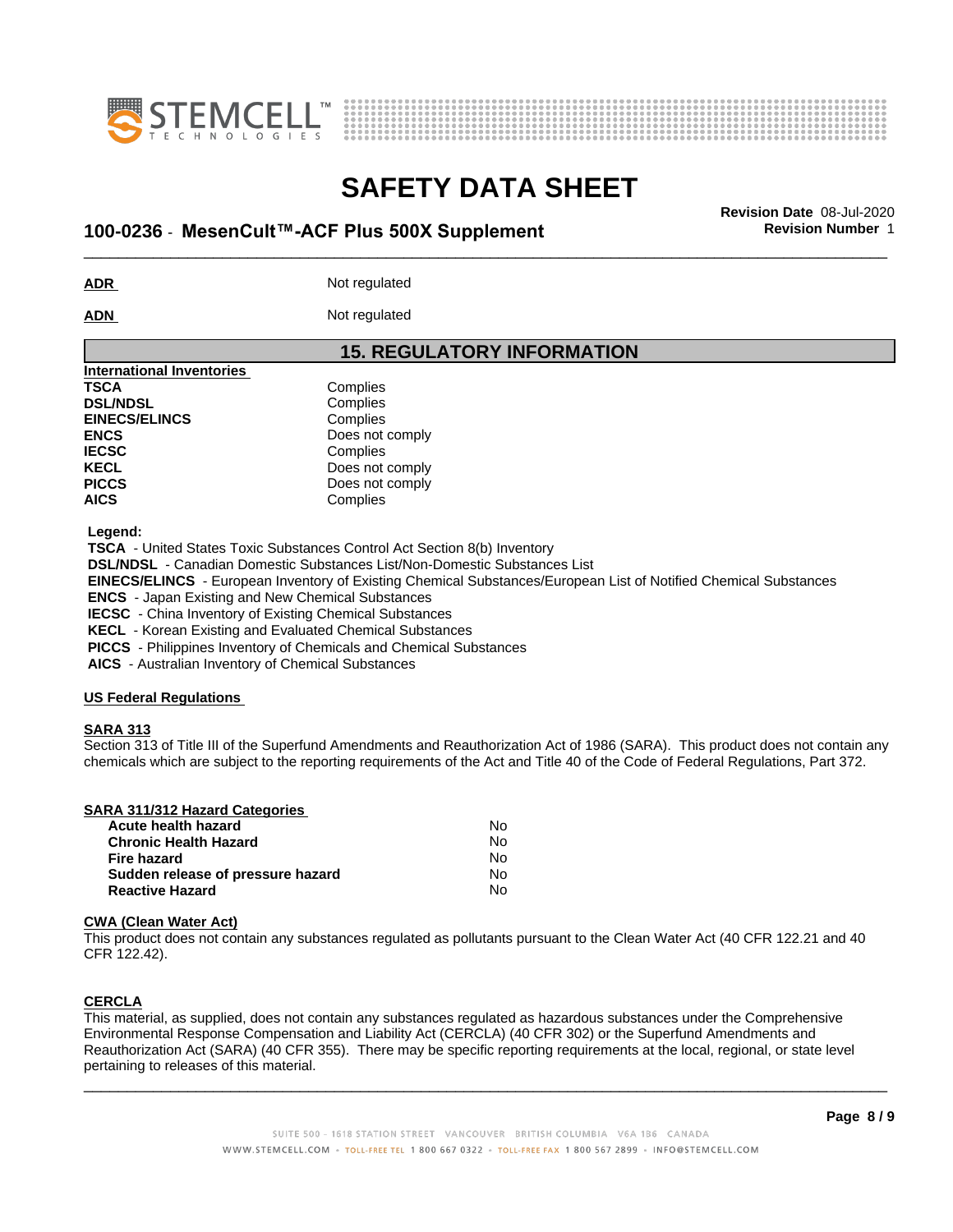



# \_\_\_\_\_\_\_\_\_\_\_\_\_\_\_\_\_\_\_\_\_\_\_\_\_\_\_\_\_\_\_\_\_\_\_\_\_\_\_\_\_\_\_\_\_\_\_\_\_\_\_\_\_\_\_\_\_\_\_\_\_\_\_\_\_\_\_\_\_\_\_\_\_\_\_\_\_\_\_\_\_\_\_\_\_\_\_\_\_\_\_\_\_ **Revision Date** 08-Jul-2020 **100-0236** - **MesenCult™-ACFPlus500XSupplement Revision Number** 1

**ADR** Not regulated

ADN Not regulated

#### **15. REGULATORY INFORMATION**

| <b>International Inventories</b> |                 |
|----------------------------------|-----------------|
| <b>TSCA</b>                      | Complies        |
| <b>DSL/NDSL</b>                  | Complies        |
| <b>EINECS/ELINCS</b>             | Complies        |
| <b>ENCS</b>                      | Does not comply |
| <b>IECSC</b>                     | Complies        |
| <b>KECL</b>                      | Does not comply |
| <b>PICCS</b>                     | Does not comply |
| <b>AICS</b>                      | Complies        |
|                                  |                 |

 **Legend:**

 **TSCA** - United States Toxic Substances Control Act Section 8(b) Inventory  **DSL/NDSL** - Canadian Domestic Substances List/Non-Domestic Substances List  **EINECS/ELINCS** - European Inventory of Existing Chemical Substances/European List of Notified Chemical Substances

 **ENCS** - Japan Existing and New Chemical Substances

 **IECSC** - China Inventory of Existing Chemical Substances

 **KECL** - Korean Existing and Evaluated Chemical Substances

 **PICCS** - Philippines Inventory of Chemicals and Chemical Substances

 **AICS** - Australian Inventory of Chemical Substances

#### **US Federal Regulations**

#### **SARA 313**

Section 313 of Title III of the Superfund Amendments and Reauthorization Act of 1986 (SARA). This product does not contain any chemicals which are subject to the reporting requirements of the Act and Title 40 of the Code of Federal Regulations, Part 372.

| <b>SARA 311/312 Hazard Categories</b> |  |
|---------------------------------------|--|
|                                       |  |

| Acute health hazard               | No |
|-----------------------------------|----|
| <b>Chronic Health Hazard</b>      | N٥ |
| Fire hazard                       | N٥ |
| Sudden release of pressure hazard | N٥ |
| <b>Reactive Hazard</b>            | N٥ |

#### **CWA** (Clean Water Act)

This product does not contain any substances regulated as pollutants pursuant to the Clean Water Act (40 CFR 122.21 and 40 CFR 122.42).

#### **CERCLA**

This material, as supplied, does not contain any substances regulated as hazardous substances under the Comprehensive Environmental Response Compensation and Liability Act (CERCLA) (40 CFR 302) or the Superfund Amendments and Reauthorization Act (SARA) (40 CFR 355). There may be specific reporting requirements at the local, regional, or state level pertaining to releases of this material.